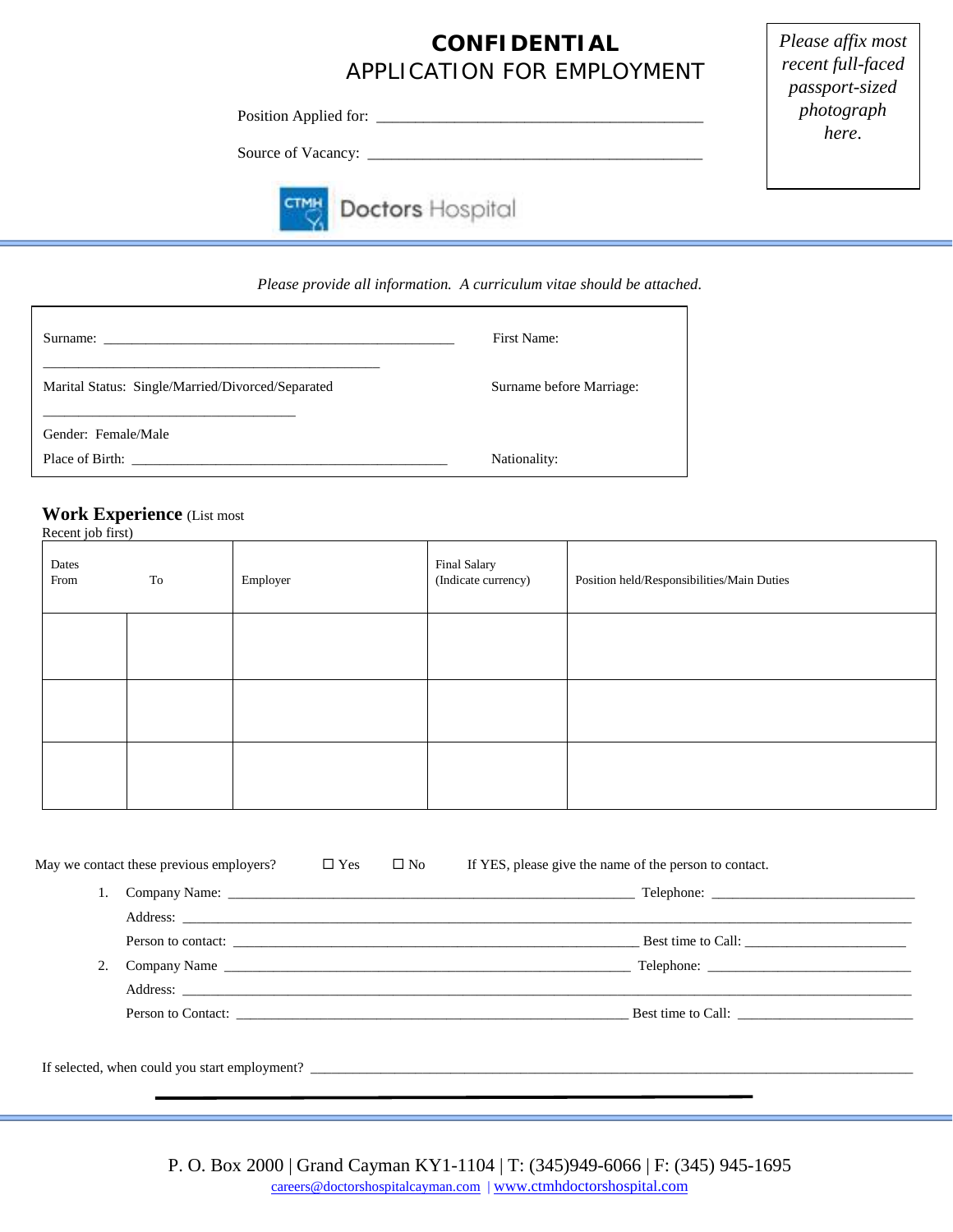## **CONFIDENTIAL** *APPLICATION FOR EMPLOYMENT*

Position Applied for: \_\_\_\_\_\_\_\_\_\_\_\_\_\_\_\_\_\_\_\_\_\_\_\_\_\_\_\_\_\_\_\_\_\_\_\_\_\_\_\_\_\_

Source of Vacancy: \_\_\_\_\_\_\_\_\_\_\_\_\_\_\_\_\_\_\_\_\_\_\_\_\_\_\_\_\_\_\_\_\_\_\_\_\_\_\_\_\_\_\_



# **Doctors Hospital**

*Please provide all information. A curriculum vitae should be attached.*

|                                                   | First Name:              |  |  |
|---------------------------------------------------|--------------------------|--|--|
| Marital Status: Single/Married/Divorced/Separated | Surname before Marriage: |  |  |
| Gender: Female/Male                               |                          |  |  |
| Place of Birth:                                   | Nationality:             |  |  |

### **Work Experience** (List most

Recent job first)

| Dates<br>From | ${\bf To}$ | Employer | Final Salary<br>(Indicate currency) | Position held/Responsibilities/Main Duties |
|---------------|------------|----------|-------------------------------------|--------------------------------------------|
|               |            |          |                                     |                                            |
|               |            |          |                                     |                                            |
|               |            |          |                                     |                                            |

| May we contact these previous employers?                                         | $\square$ Yes | $\square$ No | If YES, please give the name of the person to contact. |
|----------------------------------------------------------------------------------|---------------|--------------|--------------------------------------------------------|
|                                                                                  |               |              |                                                        |
|                                                                                  |               |              |                                                        |
|                                                                                  |               |              | Person to contact:                                     |
|                                                                                  |               |              |                                                        |
|                                                                                  |               |              |                                                        |
|                                                                                  |               |              | Person to Contact: Best time to Call:                  |
|                                                                                  |               |              |                                                        |
| If selected, when could you start employment? __________________________________ |               |              |                                                        |

*Please affix most recent full-faced passport-sized photograph here*.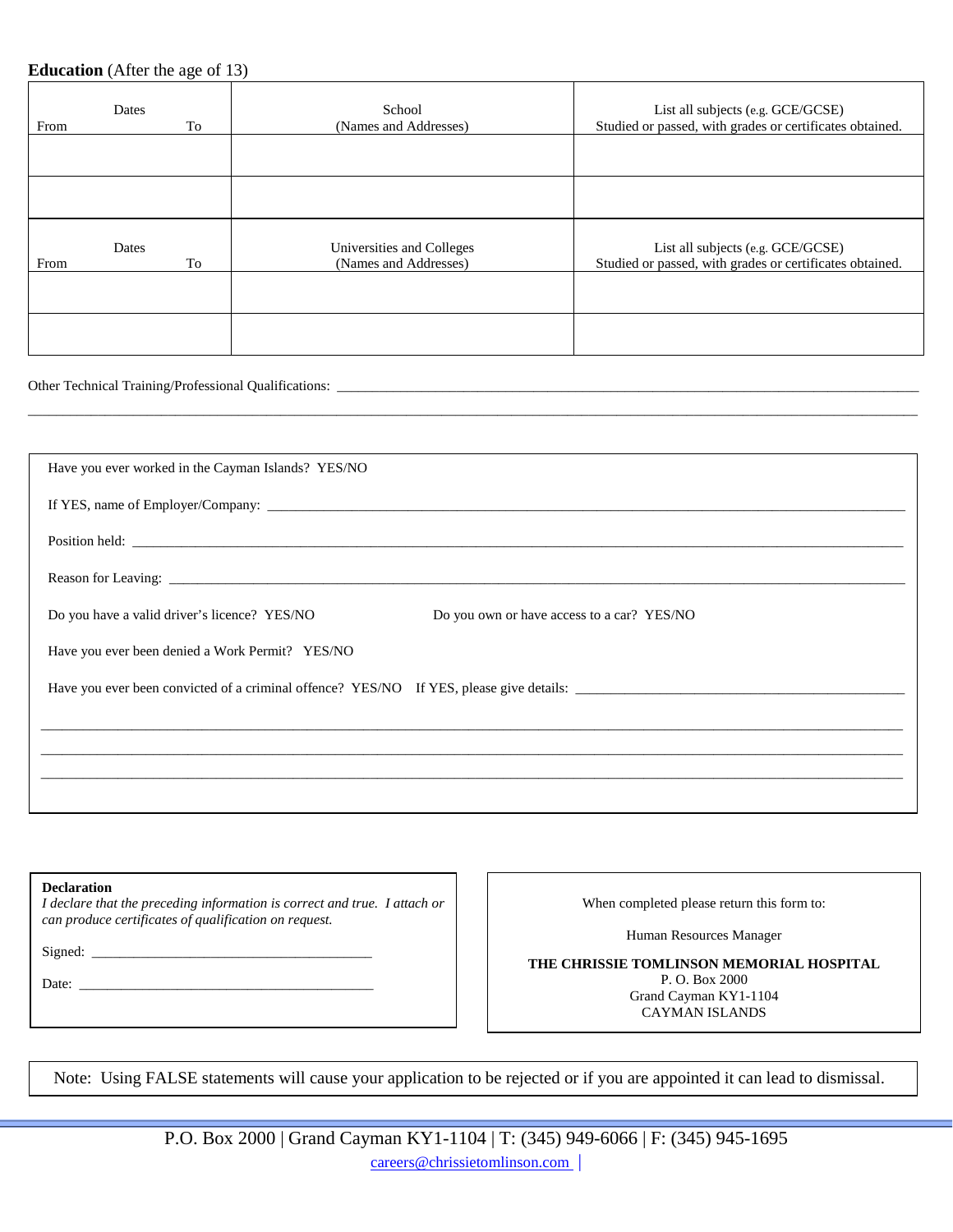#### **Education** (After the age of 13)

| Dates<br>From<br>To |             | School<br>(Names and Addresses)                    | List all subjects (e.g. GCE/GCSE)<br>Studied or passed, with grades or certificates obtained. |  |  |  |
|---------------------|-------------|----------------------------------------------------|-----------------------------------------------------------------------------------------------|--|--|--|
|                     |             |                                                    |                                                                                               |  |  |  |
|                     |             |                                                    |                                                                                               |  |  |  |
| From                | Dates<br>To | Universities and Colleges<br>(Names and Addresses) | List all subjects (e.g. GCE/GCSE)<br>Studied or passed, with grades or certificates obtained. |  |  |  |
|                     |             |                                                    |                                                                                               |  |  |  |
|                     |             |                                                    |                                                                                               |  |  |  |

\_\_\_\_\_\_\_\_\_\_\_\_\_\_\_\_\_\_\_\_\_\_\_\_\_\_\_\_\_\_\_\_\_\_\_\_\_\_\_\_\_\_\_\_\_\_\_\_\_\_\_\_\_\_\_\_\_\_\_\_\_\_\_\_\_\_\_\_\_\_\_\_\_\_\_\_\_\_\_\_\_\_\_\_\_\_\_\_\_\_\_\_\_\_\_\_\_\_\_\_\_\_\_\_\_\_\_\_\_\_\_\_\_\_\_\_\_\_\_\_\_\_\_\_\_\_\_

#### Other Technical Training/Professional Qualifications: \_

| Have you ever worked in the Cayman Islands? YES/NO                                         |
|--------------------------------------------------------------------------------------------|
|                                                                                            |
|                                                                                            |
|                                                                                            |
| Do you have a valid driver's licence? YES/NO<br>Do you own or have access to a car? YES/NO |
| Have you ever been denied a Work Permit? YES/NO                                            |
|                                                                                            |
|                                                                                            |
|                                                                                            |
|                                                                                            |

| <b>Declaration</b><br>I declare that the preceding information is correct and true. I attach or<br>can produce certificates of qualification on request. | Wŀ        |
|----------------------------------------------------------------------------------------------------------------------------------------------------------|-----------|
| Signed:                                                                                                                                                  | THE CHRIS |

Date: \_\_\_\_\_\_\_\_\_\_\_\_\_\_\_\_\_\_\_\_\_\_\_\_\_\_\_\_\_\_\_\_\_\_\_\_\_\_\_\_\_\_

hen completed please return this form to:

Human Resources Manager

**THE TOMLINSON MEMORIAL HOSPITAL** P. O. Box 2000 Grand Cayman KY1-1104 CAYMAN ISLANDS

Note: Using FALSE statements will cause your application to be rejected or if you are appointed it can lead to dismissal.